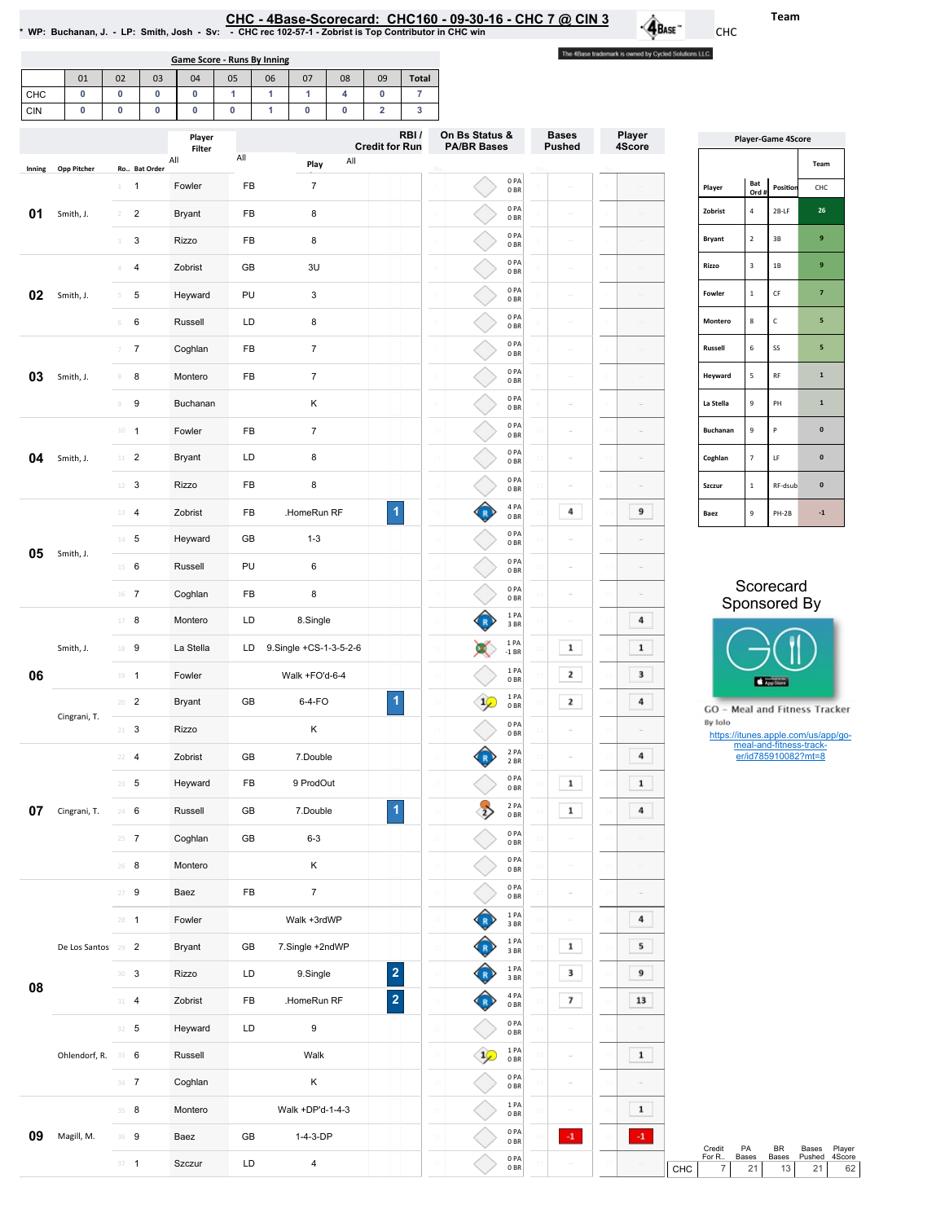| CHC - 4Base-Scorecard: CHC160 - 09-30-16 - CHC 7 @ CIN 3                                              |  |
|-------------------------------------------------------------------------------------------------------|--|
| NP: Buchanan, J. - LP: Smith, Josh - Sv: - CHC rec 102-57-1 - Zobrist is Top Contributor in CHC win * |  |

01 | 02 | 03 | 04 | 05 | 06 | 07 | 08 | 09 | Total |

0 0 0 0 1 1 1 1 1 4 0 7

Game Score - Runs By Inning

CHC

The 4Base trademark is owned by Cycled Solutions LLC.

 $\cdot$   $\bigoplus$  Base

| <b>CIN</b> | 0                  | 0                       | 0              | 0                | 0   | 1        | 0                         | $\mathbf 0$ |     | $\overline{2}$          | $\mathbf{3}$                  |                                      |                                      |                               |                  |     |                                            |                |                                                |                                     |  |
|------------|--------------------|-------------------------|----------------|------------------|-----|----------|---------------------------|-------------|-----|-------------------------|-------------------------------|--------------------------------------|--------------------------------------|-------------------------------|------------------|-----|--------------------------------------------|----------------|------------------------------------------------|-------------------------------------|--|
|            |                    |                         |                | Player<br>Filter |     |          |                           |             |     |                         | RBI/<br><b>Credit for Run</b> | On Bs Status &<br><b>PA/BR Bases</b> |                                      | <b>Bases</b><br><b>Pushed</b> | Player<br>4Score |     |                                            |                | <b>Player-Game 4Score</b>                      |                                     |  |
| Inning     | <b>Opp Pitcher</b> |                         | Ro Bat Order   | All              | All |          | Play                      |             | All |                         |                               |                                      |                                      |                               |                  |     |                                            |                |                                                | Team                                |  |
|            |                    | $1 -$                   | $\overline{1}$ | Fowler           |     | FB       | $\overline{7}$            |             |     |                         |                               |                                      | 0PA<br>0 <sub>BR</sub>               |                               |                  |     | Player                                     | Bat<br>Ord     | Position                                       | CHC                                 |  |
| 01         | Smith, J.          | $2 -$                   | $\overline{2}$ | <b>Bryant</b>    |     | FB       | 8                         |             |     |                         |                               |                                      | 0PA<br>0 <sub>BR</sub>               | G                             |                  |     | Zobrist                                    | $\overline{4}$ | $2B-LF$                                        | 26                                  |  |
|            |                    | $\overline{\mathbf{3}}$ | 3              | Rizzo            |     | FB       | 8                         |             |     |                         |                               |                                      | 0PA<br>0 <sub>BR</sub>               |                               |                  |     | <b>Bryant</b>                              | $\overline{2}$ | $3B$                                           | $\boldsymbol{9}$                    |  |
|            |                    | $\mathcal{A}^-$         | $\overline{4}$ | Zobrist          |     | GB       | 3U                        |             |     |                         |                               |                                      | 0PA<br>0 <sub>BR</sub>               | ö                             |                  |     | Rizzo                                      | $\mathsf 3$    | $1\mathrm{B}$                                  | $\boldsymbol{9}$                    |  |
| 02         | Smith, J.          | 5                       | 5              | Heyward          |     | PU       | $\ensuremath{\mathsf{3}}$ |             |     |                         |                               |                                      | 0PA<br>0 <sub>BR</sub>               | $\sim$                        |                  |     | Fowler                                     | $\mathbf 1$    | $\mathsf{CF}$                                  | $\overline{\mathbf{z}}$             |  |
|            |                    | 6                       | 6              | Russell          |     | LD       | 8                         |             |     |                         |                               |                                      | 0PA<br>0 <sub>BR</sub>               | $\bar{a}$                     | $\bar{m}$        |     | Montero                                    | $\bf8$         | $\mathsf{C}$                                   | ${\bf 5}$                           |  |
|            |                    | $7 -$                   | $\overline{7}$ | Coghlan          |     | FB       | $\overline{7}$            |             |     |                         |                               |                                      | 0PA<br>0BR                           | $\sim$                        | $\sim$           |     | Russell                                    | 6              | SS                                             | $5\phantom{a}$                      |  |
| 03         | Smith, J.          | 8                       | 8              | Montero          |     | FB       | $\overline{7}$            |             |     |                         |                               |                                      | 0PA<br>0 <sub>BR</sub>               | ŵ                             | $\bar{m}$        |     | Heyward                                    | 5              | RF                                             | $\mathbf 1$                         |  |
|            |                    | $\mathfrak g$           | 9              | Buchanan         |     |          | Κ                         |             |     |                         |                               |                                      | 0PA<br>0 <sub>BR</sub>               | ÷                             | $\sim$           |     | La Stella                                  | $\mathbf 9$    | PH                                             | $\mathbf 1$                         |  |
|            |                    | $10 - 1$                |                | Fowler           |     | FB       | $\overline{7}$            |             |     |                         |                               |                                      | 0PA<br>0 <sub>BR</sub>               | ÷                             |                  |     | Buchanan                                   | 9              | P                                              | $\pmb{0}$                           |  |
| 04         | Smith, J.          | $11$ 2                  |                | <b>Bryant</b>    |     | LD       | 8                         |             |     |                         |                               |                                      | 0PA<br>0 <sub>BR</sub>               | ö                             |                  |     | Coghlan                                    | $\overline{7}$ | LF                                             | $\pmb{0}$                           |  |
|            |                    | $12 - 3$                |                | Rizzo            |     | FB       | 8                         |             |     |                         |                               |                                      | 0PA<br>0 <sub>BR</sub>               | ÷                             |                  |     | Szczur                                     | $\mathbf 1$    | RF-dsub                                        | $\pmb{0}$                           |  |
|            |                    | 13 4                    |                | Zobrist          |     | FB       | .HomeRun RF               |             |     | $\overline{\mathbf{1}}$ |                               | R                                    | 4 PA<br>0BR                          | 4                             | 9                |     | Baez                                       | $\mathbf 9$    | $PH-2B$                                        | $-1$                                |  |
|            |                    | $14 - 5$                |                | Heyward          |     | GB       | $1 - 3$                   |             |     |                         |                               |                                      | 0PA<br>0BR                           |                               |                  |     |                                            |                |                                                |                                     |  |
| 05         | Smith, J.          | $15 \t 6$               |                | Russell          |     | PU       | 6                         |             |     |                         |                               |                                      | 0PA<br>0 <sub>BR</sub>               |                               |                  |     |                                            |                |                                                |                                     |  |
|            |                    | $16$ 7                  |                | Coghlan          |     | FB       | 8                         |             |     |                         |                               |                                      | 0PA<br>0 <sub>BR</sub>               | $\bar{m}$                     |                  |     |                                            |                | Scorecard                                      |                                     |  |
|            | $17 - 8$           |                         | Montero        |                  | LD  | 8.Single |                           |             |     |                         | R                             | 1PA<br>3 BR                          |                                      | 4                             |                  |     |                                            | Sponsored By   |                                                |                                     |  |
|            | Smith, J.          | 18 9                    |                | La Stella        |     | LD       | 9.Single +CS-1-3-5-2-6    |             |     |                         |                               | ×                                    | 1 PA<br>$-1$ BR                      | $\mathbf 1$                   | $\mathbf 1$      |     |                                            |                |                                                |                                     |  |
| 06         |                    | $19 - 1$                |                | Fowler           |     |          | Walk +FO'd-6-4            |             |     |                         |                               |                                      | 1PA<br>0 <sub>BR</sub>               | $\mathbf{z}$                  | 3                |     |                                            |                |                                                |                                     |  |
|            |                    |                         | $20 - 2$       | <b>Bryant</b>    |     | GB       | 6-4-FO                    |             |     | $\overline{\mathbf{1}}$ |                               | $\mathcal{L}$                        | 1 PA<br>0BR                          | $\mathbf{z}$                  | 4                |     | App Store<br>GO - Meal and Fitness Tracker |                |                                                |                                     |  |
|            | Cingrani, T.       | $21 - 3$                |                | Rizzo            |     |          | Κ                         |             |     |                         |                               |                                      | 0PA<br>0 <sub>BR</sub>               | ÷                             |                  |     | By Iolo                                    |                |                                                |                                     |  |
|            |                    | $22 - 4$                |                | Zobrist          |     | GB       | 7.Double                  |             |     |                         |                               |                                      | 2 PA                                 |                               | 4                |     | https://itunes.apple.com/us/app/go-        |                | meal-and-fitness-track-<br>er/id785910082?mt=8 |                                     |  |
|            |                    | $23 - 5$                |                | Heyward          |     | FB       | 9 ProdOut                 |             |     |                         |                               |                                      | 2 BR<br>0PA<br>0 <sub>BR</sub>       | $\mathbf 1$                   | $\mathbf 1$      |     |                                            |                |                                                |                                     |  |
| 07         | Cingrani, T.       | $24 - 6$                |                | Russell          |     | GB       | 7.Double                  |             |     | 1                       |                               | $\overrightarrow{2}$                 | 2 PA<br>0 BR                         | $\mathbf 1$                   | 4                |     |                                            |                |                                                |                                     |  |
|            |                    | $25 - 7$                |                | Coghlan          |     | GB       | $6 - 3$                   |             |     |                         |                               |                                      | 0PA                                  |                               |                  |     |                                            |                |                                                |                                     |  |
|            |                    | $26$ 8                  |                | Montero          |     |          | Κ                         |             |     |                         |                               |                                      | 0BR<br>0PA                           |                               |                  |     |                                            |                |                                                |                                     |  |
|            |                    | $27 - 9$                |                | Baez             |     | FB       | $7\overline{ }$           |             |     |                         |                               |                                      | 0BR<br>0PA                           | $\bar{m}$                     |                  |     |                                            |                |                                                |                                     |  |
|            |                    | $28 - 1$                |                | Fowler           |     |          | Walk +3rdWP               |             |     |                         |                               |                                      | 0BR<br>1 PA                          | $\bar{t}_{\rm{max}}$          | 4                |     |                                            |                |                                                |                                     |  |
|            | De Los Santos 29 2 |                         |                | <b>Bryant</b>    |     | GB       | 7.Single +2ndWP           |             |     |                         |                               | R                                    | 3BR<br>1PA                           | $\mathbf 1$                   | 5                |     |                                            |                |                                                |                                     |  |
|            |                    |                         | $30-3$         | Rizzo            |     | LD       | 9.Single                  |             |     | $\overline{\mathbf{c}}$ |                               | R                                    | 3 BR<br>1 PA                         | $\overline{\mathbf{3}}$       | 9                |     |                                            |                |                                                |                                     |  |
| 08         |                    | $31 - 4$                |                | Zobrist          |     | FB       | .HomeRun RF               |             |     | $\overline{\mathbf{2}}$ |                               | $\mathbb{R}$                         | 3 BR<br>4 PA                         | $\overline{7}$                | 13               |     |                                            |                |                                                |                                     |  |
|            |                    |                         | $32 - 5$       | Heyward          |     | LD       | 9                         |             |     |                         |                               |                                      | 0BR<br>0PA                           | ÷                             |                  |     |                                            |                |                                                |                                     |  |
|            |                    |                         |                | Russell          |     |          | Walk                      |             |     |                         |                               | $\frac{1}{2}$                        | 0BR<br>1PA                           |                               | $\mathbf{1}$     |     |                                            |                |                                                |                                     |  |
|            | Ohlendorf, R. 33 6 |                         |                |                  |     |          |                           |             |     |                         |                               |                                      | 0 <sub>BR</sub><br>0PA               |                               |                  |     |                                            |                |                                                |                                     |  |
|            |                    |                         | $34 - 7$       | Coghlan          |     |          | Κ                         |             |     |                         |                               |                                      | 0BR<br>1PA                           | $\bar{t}$                     |                  |     |                                            |                |                                                |                                     |  |
|            |                    |                         | 35 8           | Montero          |     |          | Walk +DP'd-1-4-3          |             |     |                         |                               |                                      | 0BR<br>0PA                           | i.                            | $\mathbf 1$      |     |                                            |                |                                                |                                     |  |
| 09         | Magill, M.         | $36$ 9                  |                | Baez             |     | GB       | 1-4-3-DP                  |             |     |                         |                               |                                      | $0\;\mathrm{BR}$                     | $\cdot 1$                     | $\cdot 1$        |     | Credit<br>For R                            | PA<br>Bases    | <b>BR</b><br>Bases                             | Player<br>Bases<br>4Score<br>Pushed |  |
|            |                    | $37 - 1$                |                | Szczur           |     | LD       | $\overline{\mathbf{4}}$   |             |     |                         |                               |                                      | 0PA<br>$0\;\ensuremath{\mathsf{BR}}$ |                               |                  | CHC | $\overline{7}$                             | 21             | 13                                             | 21                                  |  |

| <b>Player-Game 4Score</b> |                |                |                |  |  |  |  |  |  |  |
|---------------------------|----------------|----------------|----------------|--|--|--|--|--|--|--|
|                           |                |                | Team           |  |  |  |  |  |  |  |
| Player                    | Bat<br>Ord#    | Position       | CHC            |  |  |  |  |  |  |  |
| Zobrist                   | 4              | 2B-LF          | 26             |  |  |  |  |  |  |  |
| <b>Bryant</b>             | $\overline{2}$ | 3B             | 9              |  |  |  |  |  |  |  |
| Rizzo                     | 3              | 1 <sub>B</sub> | 9              |  |  |  |  |  |  |  |
| Fowler                    | $\mathbf{1}$   | CF             | $\overline{7}$ |  |  |  |  |  |  |  |
| Montero                   | 8              | C              | 5              |  |  |  |  |  |  |  |
| Russell                   | 6              | SS             | 5              |  |  |  |  |  |  |  |
| Heyward                   | 5              | <b>RF</b>      | $\mathbf{1}$   |  |  |  |  |  |  |  |
| La Stella                 | 9              | PH             | $\mathbf{1}$   |  |  |  |  |  |  |  |
| <b>Buchanan</b>           | 9              | P              | $\mathbf{0}$   |  |  |  |  |  |  |  |
| Coghlan                   | $\overline{7}$ | LF             | $\mathbf{0}$   |  |  |  |  |  |  |  |
| Szczur                    | $\mathbf{1}$   | RF-dsub        | $\mathbf{0}$   |  |  |  |  |  |  |  |
| Baez                      | 9              | $PH-2B$        | $-1$           |  |  |  |  |  |  |  |

### corecard nsored By



Team

CHC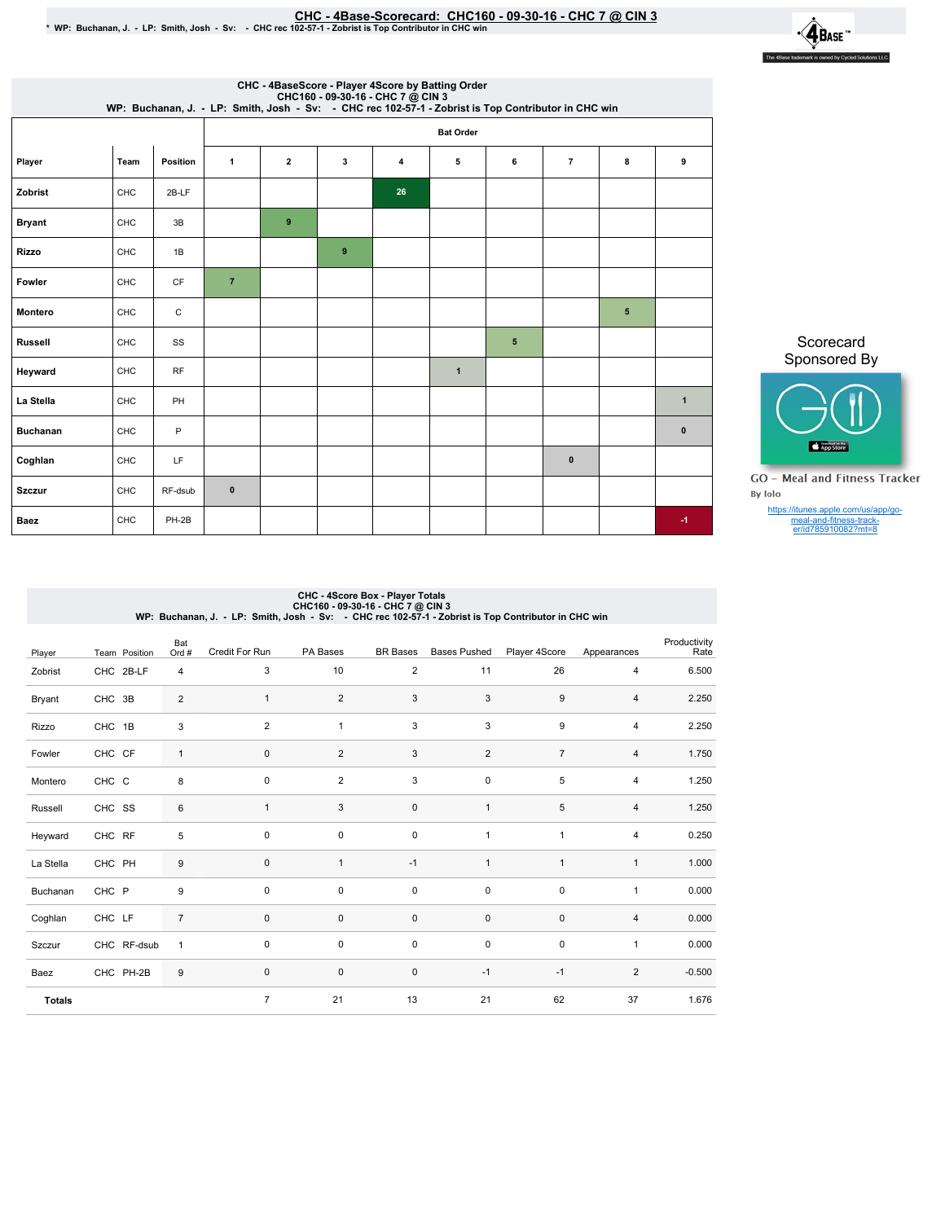## EHC-4Base-Scorecard: CHC160 - 09-30-16 - CHC 7 @ CIN 3<br>\* WP: Buchanan, J. - LP: Smith, Josh - Sv: - CHC rec 102-57-1 - Zobrist is Top Contributor in CHC win

 $\cdot \hat{\mathbf{A}}$ Base The 4Base trademark is owned by Cycled Solutions LLC.

|                 | CHC - 4BaseScore - Player 4Score by Batting Order<br>CHC160 - 09-30-16 - CHC 7 @ CIN 3<br>WP: Buchanan, J. - LP: Smith, Josh - Sv: - CHC rec 102-57-1 - Zobrist is Top Contributor in CHC win |          |                |                |   |    |                  |   |                |   |              |  |  |  |  |
|-----------------|-----------------------------------------------------------------------------------------------------------------------------------------------------------------------------------------------|----------|----------------|----------------|---|----|------------------|---|----------------|---|--------------|--|--|--|--|
|                 |                                                                                                                                                                                               |          |                |                |   |    | <b>Bat Order</b> |   |                |   |              |  |  |  |  |
| Player          | Team                                                                                                                                                                                          | Position | $\mathbf{1}$   | $\overline{2}$ | 3 | 4  | 5                | 6 | $\overline{7}$ | 8 | 9            |  |  |  |  |
| Zobrist         | CHC                                                                                                                                                                                           | 2B-LF    |                |                |   | 26 |                  |   |                |   |              |  |  |  |  |
| <b>Bryant</b>   | CHC                                                                                                                                                                                           | 3B       |                | 9              |   |    |                  |   |                |   |              |  |  |  |  |
| <b>Rizzo</b>    | CHC                                                                                                                                                                                           | 1B       |                |                | 9 |    |                  |   |                |   |              |  |  |  |  |
| Fowler          | CHC                                                                                                                                                                                           | CF       | $\overline{7}$ |                |   |    |                  |   |                |   |              |  |  |  |  |
| Montero         | CHC                                                                                                                                                                                           | C        |                |                |   |    |                  |   |                | 5 |              |  |  |  |  |
| <b>Russell</b>  | CHC                                                                                                                                                                                           | SS       |                |                |   |    |                  | 5 |                |   |              |  |  |  |  |
| Heyward         | CHC                                                                                                                                                                                           | RF       |                |                |   |    | $\overline{1}$   |   |                |   |              |  |  |  |  |
| La Stella       | CHC                                                                                                                                                                                           | PH       |                |                |   |    |                  |   |                |   | $\mathbf{1}$ |  |  |  |  |
| <b>Buchanan</b> | CHC                                                                                                                                                                                           | P        |                |                |   |    |                  |   |                |   | $\pmb{0}$    |  |  |  |  |
| Coghlan         | CHC                                                                                                                                                                                           | LF       |                |                |   |    |                  |   | $\mathbf{0}$   |   |              |  |  |  |  |
| <b>Szczur</b>   | CHC                                                                                                                                                                                           | RF-dsub  | $\mathbf{0}$   |                |   |    |                  |   |                |   |              |  |  |  |  |
| Baez            | CHC                                                                                                                                                                                           | PH-2B    |                |                |   |    |                  |   |                |   | $-1$         |  |  |  |  |

Scorecard Sponsored By



**GO** - Meal and Fitness Tracker By Iolo

https://itunes.apple.com/us/app/go-meal-and-fitness-track-er/id785910082?mt=8

# CHC - 4Score Box - Player Totals<br>CHC160 - 09-30-16<br>WP: Buchanan, J. - LP: Smith, Josh - Sv: - CHC rec 102-57-1 - Zobrist is Top Contributor in CHC win

| Player        | Team Position | Bat<br>Ord #     | Credit For Run | PA Bases       | <b>BR</b> Bases | <b>Bases Pushed</b> | Player 4Score    | Appearances    | Productivity<br>Rate |
|---------------|---------------|------------------|----------------|----------------|-----------------|---------------------|------------------|----------------|----------------------|
| Zobrist       | CHC 2B-LF     | $\overline{4}$   | 3              | 10             | $\overline{2}$  | 11                  | 26               | $\overline{4}$ | 6.500                |
| Bryant        | CHC 3B        | $\overline{2}$   | $\mathbf{1}$   | $\overline{2}$ | 3               | 3                   | $\boldsymbol{9}$ | 4              | 2.250                |
| Rizzo         | CHC 1B        | $\mathsf 3$      | $\overline{2}$ | $\mathbf{1}$   | 3               | 3                   | 9                | 4              | 2.250                |
| Fowler        | CHC CF        | $\mathbf{1}$     | 0              | $\overline{2}$ | 3               | $\overline{2}$      | $\overline{7}$   | $\overline{4}$ | 1.750                |
| Montero       | CHC C         | 8                | $\mathbf 0$    | 2              | 3               | $\pmb{0}$           | 5                | 4              | 1.250                |
| Russell       | CHC SS        | 6                | $\mathbf{1}$   | 3              | 0               | $\mathbf{1}$        | $\,$ 5 $\,$      | $\overline{4}$ | 1.250                |
| Heyward       | CHC RF        | 5                | 0              | 0              | $\pmb{0}$       | 1                   | $\mathbf{1}$     | 4              | 0.250                |
| La Stella     | CHC PH        | $\boldsymbol{9}$ | 0              | $\mathbf{1}$   | $-1$            | $\mathbf{1}$        | $\mathbf{1}$     | $\mathbf{1}$   | 1.000                |
| Buchanan      | CHC P         | 9                | $\mathbf 0$    | $\mathbf 0$    | $\mathbf 0$     | $\mathbf 0$         | $\mathbf 0$      | $\mathbf{1}$   | 0.000                |
| Coghlan       | CHC LF        | $\overline{7}$   | $\mathbf 0$    | $\mathbf 0$    | $\mathsf 0$     | $\pmb{0}$           | $\pmb{0}$        | 4              | 0.000                |
| Szczur        | CHC RF-dsub   | $\mathbf{1}$     | 0              | 0              | $\pmb{0}$       | $\pmb{0}$           | $\pmb{0}$        | $\mathbf{1}$   | 0.000                |
| Baez          | CHC PH-2B     | $9\,$            | 0              | $\pmb{0}$      | $\pmb{0}$       | $-1$                | $-1$             | $\overline{2}$ | $-0.500$             |
| <b>Totals</b> |               |                  | $\overline{7}$ | 21             | 13              | 21                  | 62               | 37             | 1.676                |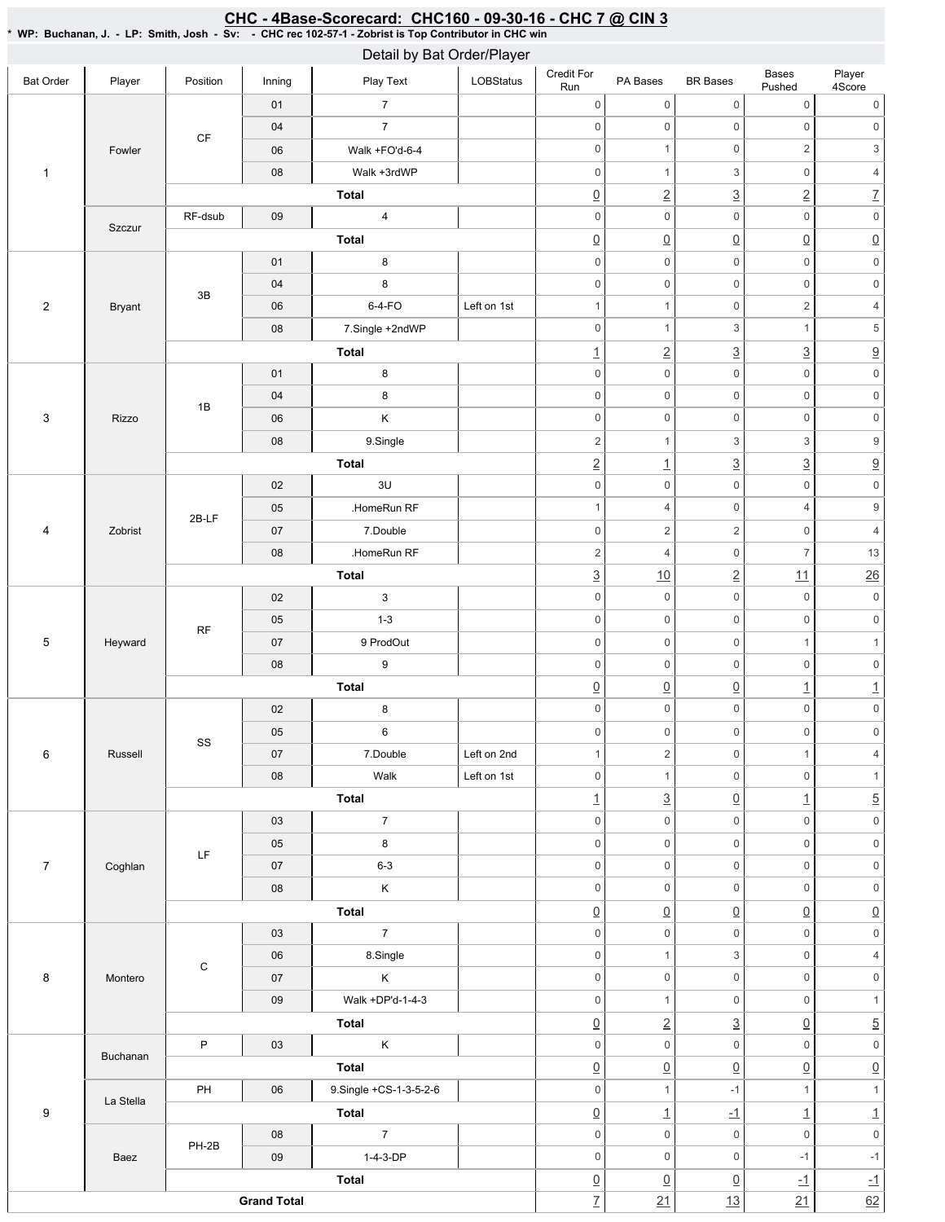#### CHC - 4Base-Scorecard: CHC160 - 09-30-16 - CHC 7 @ CIN 3

\*WP:Buchanan,J.-LP:Smith,Josh-Sv: -CHCrec102-57-1-ZobristisTopContributorinCHCwin

|                           |               |                        |                    | Detail by Bat Order/Player |             |                     |                          |                           |                     |                           |
|---------------------------|---------------|------------------------|--------------------|----------------------------|-------------|---------------------|--------------------------|---------------------------|---------------------|---------------------------|
| <b>Bat Order</b>          | Player        | Position               | Inning             | Play Text                  | LOBStatus   | Credit For<br>Run   | PA Bases                 | <b>BR</b> Bases           | Bases<br>Pushed     | Player<br>4Score          |
|                           |               |                        | 01                 | $\overline{7}$             |             | $\mathbb O$         | 0                        | $\mathsf{O}\xspace$       | $\mathsf 0$         | $\mathsf{0}$              |
|                           |               | $\mathsf{C}\mathsf{F}$ | 04                 | $\overline{7}$             |             | $\,0\,$             | $\mathsf{O}\xspace$      | $\mathbf 0$               | $\mathsf 0$         | $\mathbb O$               |
|                           | Fowler        |                        | 06                 | Walk +FO'd-6-4             |             | $\mathsf{O}\xspace$ | $\mathbf{1}$             | $\mathsf 0$               | $\sqrt{2}$          | $\ensuremath{\mathsf{3}}$ |
| $\mathbf{1}$              |               |                        | 08                 | Walk +3rdWP                |             | $\,0\,$             | $\mathbf{1}$             | $\ensuremath{\mathsf{3}}$ | $\mathsf 0$         | $\sqrt{4}$                |
|                           |               |                        |                    | <b>Total</b>               |             | $\underline{0}$     | $\underline{2}$          | $\overline{3}$            | $\underline{2}$     | $\underline{7}$           |
|                           | Szczur        | RF-dsub                | 09                 | $\overline{\mathbf{4}}$    |             | $\,0\,$             | $\mathsf{O}\xspace$      | $\mathsf{O}\xspace$       | $\mathsf 0$         | $\mathsf{O}\xspace$       |
|                           |               |                        |                    | Total                      |             | $\underline{0}$     | $\underline{0}$          | $\underline{0}$           | $\underline{0}$     | $\underline{0}$           |
|                           |               |                        | 01                 | 8                          |             | $\mathsf 0$         | 0                        | $\mathsf{O}\xspace$       | $\mathbf 0$         | $\mathsf{O}\xspace$       |
|                           |               | 3B                     | 04                 | 8                          |             | $\mathbf 0$         | $\mathsf{O}\xspace$      | $\mathsf{O}\xspace$       | $\mathbf 0$         | $\mathsf{O}\xspace$       |
| $\overline{c}$            | <b>Bryant</b> |                        | 06                 | $6-4-FO$                   | Left on 1st | $\mathbf{1}$        | $\mathbf{1}$             | $\mathbf 0$               | $\sqrt{2}$          | $\sqrt{4}$                |
|                           |               |                        | 08                 | 7.Single +2ndWP            | $\mathsf 0$ | $\mathbf{1}$        | $\mathsf 3$              | $\mathbf{1}$              | $\sqrt{5}$          |                           |
|                           |               |                        |                    | <b>Total</b>               |             | $\overline{1}$      | $\underline{2}$          | $\overline{3}$            | $\underline{3}$     | $\underline{9}$           |
|                           |               |                        | 01                 | 8                          |             | $\mathbf 0$         | 0                        | $\mathbf 0$               | $\mathsf 0$         | $\mathsf{O}\xspace$       |
|                           |               | 1B                     | 04                 | 8                          |             | $\mathsf 0$         | $\mathsf{O}\xspace$      | $\mathsf{O}\xspace$       | $\mathbf 0$         | $\mathsf{O}\xspace$       |
| $\ensuremath{\mathsf{3}}$ | Rizzo         |                        | 06                 | Κ                          |             | $\mathsf{O}\xspace$ | $\mathsf{O}\xspace$      | $\mathbf 0$               | $\mathbf 0$         | $\mathsf{O}\xspace$       |
|                           |               |                        | 08                 | 9.Single                   |             | $\sqrt{2}$          | $\mathbf{1}$             | $\ensuremath{\mathsf{3}}$ | 3                   | $\boldsymbol{9}$          |
|                           |               |                        |                    | <b>Total</b>               |             | $\overline{2}$      | $\overline{1}$           | $\overline{3}$            | $\overline{3}$      | $\underline{9}$           |
|                           |               |                        | 02                 | 3U                         |             | $\mathsf{O}\xspace$ | $\mathsf 0$              | $\mathbf 0$               | $\mathsf 0$         | $\mathsf{O}\xspace$       |
|                           |               | $2B-LF$                | 05                 | .HomeRun RF                |             | $\mathbf{1}$        | 4                        | $\mathbf 0$               | $\overline{4}$      | $\boldsymbol{9}$          |
| 4                         | Zobrist       |                        | 07                 | 7.Double                   |             | $\mathsf{O}\xspace$ | $\overline{c}$           | $\sqrt{2}$                | $\mathbf 0$         | $\sqrt{4}$                |
|                           |               |                        | 08                 | .HomeRun RF                |             | $\sqrt{2}$          | $\overline{4}$           | $\mathbf 0$               | $\boldsymbol{7}$    | 13                        |
|                           |               |                        |                    | Total                      |             | $\overline{3}$      | 10                       | $\overline{2}$            | 11                  | $\overline{26}$           |
|                           |               |                        | 02                 | 3                          |             | $\mathsf{O}\xspace$ | $\mathsf 0$              | $\mathsf{O}\xspace$       | $\mathbf 0$         | $\mathsf{O}\xspace$       |
|                           |               | RF                     | 05                 | $1 - 3$                    |             | $\mathsf{O}\xspace$ | 0                        | $\mathsf{O}\xspace$       | $\mathsf 0$         | $\mathsf{O}\xspace$       |
| 5                         | Heyward       |                        | 07                 | 9 ProdOut                  |             | $\,0\,$             | 0                        | $\mathbf 0$               | $\mathbf{1}$        | $\mathbf{1}$              |
|                           |               |                        | 08                 | 9                          |             | $\mathsf 0$         | $\mathsf{O}\xspace$      | $\mathbf 0$               | $\mathbf 0$         | $\mathsf{O}\xspace$       |
|                           |               |                        | <b>Total</b>       |                            |             |                     | $\underline{0}$          | $\underline{0}$           | $\overline{1}$      | $\overline{1}$            |
|                           |               | $\texttt{SS}$          | 02                 | 8                          |             | $\boldsymbol{0}$    | $\mathbf 0$              | $\mathbf 0$               | $\mathsf 0$         | $\mathsf{O}\xspace$       |
|                           |               |                        | 05                 | 6                          |             | $\mathbf 0$         | 0                        | $\mathbf 0$               | $\mathsf 0$         | $\mathsf{O}\xspace$       |
| 6                         | Russell       |                        | 07                 | 7.Double                   | Left on 2nd | 1                   | $\overline{2}$           | $\mathsf{O}\xspace$       | $\mathbf{1}$        | 4                         |
|                           |               |                        | 08                 | Walk                       | Left on 1st | $\mathsf{O}\xspace$ | $\mathbf{1}$             | $\mathbf 0$               | $\mathsf 0$         | $\mathbf{1}$              |
|                           |               |                        |                    | Total                      |             | $\overline{1}$      | $\underline{3}$          | $\underline{0}$           | $\overline{1}$      | $\overline{5}$            |
|                           |               |                        | 03                 | $\overline{7}$             |             | $\mathsf{O}\xspace$ | $\mathsf 0$              | $\mathsf{O}\xspace$       | $\mathsf{O}\xspace$ | $\mathsf{O}\xspace$       |
|                           |               | LF                     | 05                 | 8                          |             | $\mathbf 0$         | 0                        | $\mathsf{O}$              | $\mathsf 0$         | $\mathsf{O}\xspace$       |
| $\overline{7}$            | Coghlan       |                        | 07                 | $6 - 3$                    |             | $\mathbf 0$         | 0                        | $\mathbf 0$               | $\mathsf 0$         | $\mathsf{O}\xspace$       |
|                           |               |                        | 08                 | Κ                          |             | $\mathsf{O}\xspace$ | 0                        | $\mathsf{O}$              | $\mathsf{O}\xspace$ | $\mathsf{O}\xspace$       |
|                           |               |                        |                    | <b>Total</b>               |             | $\underline{0}$     | $\underline{0}$          | $\underline{0}$           | $\underline{0}$     | $\underline{0}$           |
|                           |               |                        | 03                 | $\overline{7}$             |             | $\mathsf{O}\xspace$ | 0                        | $\mathsf{O}\xspace$       | $\mathsf{O}\xspace$ | $\mathsf{O}\xspace$       |
|                           |               | С                      | 06                 | 8.Single                   |             | $\mathsf{O}\xspace$ | $\mathbf{1}$             | $\mathfrak{S}$            | $\mathsf{O}\xspace$ | $\sqrt{4}$                |
| 8                         | Montero       |                        | 07                 | $\mathsf K$                |             | $\mathbf 0$         | 0                        | $\mathbf 0$               | $\mathsf 0$         | $\mathsf{O}\xspace$       |
|                           |               |                        | 09                 | Walk +DP'd-1-4-3           |             | $\mathsf{O}\xspace$ | $\mathbf{1}$             | $\mathsf{O}$              | $\mathsf 0$         | $\mathbf{1}$              |
|                           |               |                        |                    | <b>Total</b>               |             | $\underline{0}$     | $\underline{2}$          | $\overline{3}$            | $\underline{0}$     | $\overline{5}$            |
|                           | Buchanan      | P                      | 03                 | $\mathsf K$                |             | $\,0\,$             | 0                        | $\mathbf 0$               | $\mathsf 0$         | $\mathsf{O}\xspace$       |
|                           |               |                        |                    | Total                      |             | $\underline{0}$     | $\underline{0}$          | $\underline{0}$           | $\underline{0}$     | $\underline{0}$           |
|                           | La Stella     | PH                     | 06                 | 9.Single +CS-1-3-5-2-6     |             | $\mathsf{O}\xspace$ | $\mathbf{1}$             | $-1$                      | $\mathbf{1}$        | $\mathbf{1}$              |
| $\boldsymbol{9}$          |               |                        |                    | <b>Total</b>               |             | $\underline{0}$     | $\underline{\mathbf{1}}$ | $\overline{-1}$           | $\overline{1}$      | $\underline{1}$           |
|                           |               | PH-2B                  | 08                 | $\overline{7}$             |             | $\,0\,$             | 0                        | $\mathsf{O}\xspace$       | $\mathsf{O}\xspace$ | $\mathsf{O}\xspace$       |
|                           | Baez          |                        | 09                 | 1-4-3-DP                   |             | $\mathbf 0$         | 0                        | $\mathsf{O}$              | $-1$                | $-1$                      |
| Total                     |               |                        |                    |                            |             | $\underline{0}$     | $\underline{0}$          | $\underline{0}$           | $-1$                | $\underline{\textbf{-1}}$ |
|                           |               |                        | <b>Grand Total</b> | $\underline{7}$            | 21          | 13                  | 21                       | 62                        |                     |                           |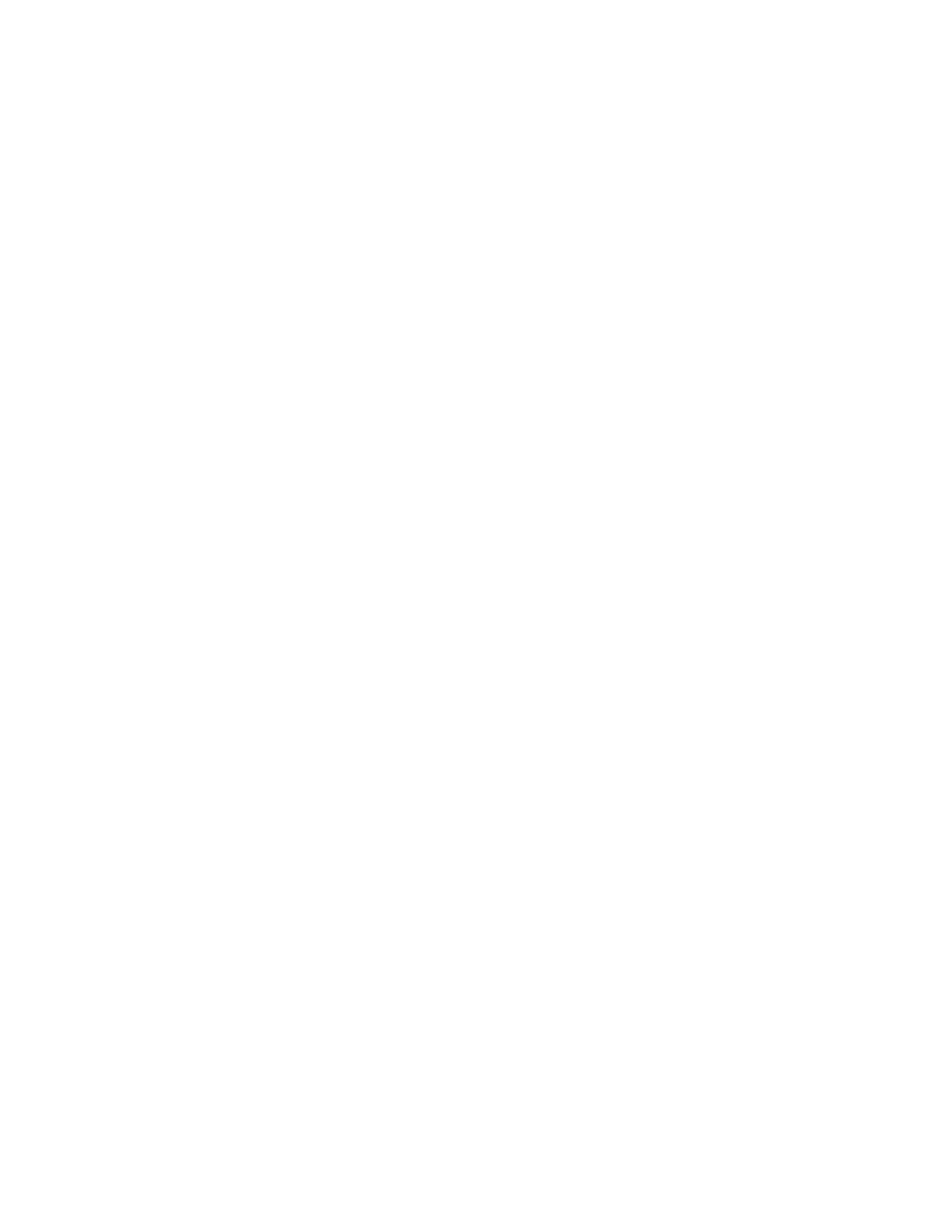|                 |                 |            | %DVH6FRUHFDLG &+&                         |  |
|-----------------|-----------------|------------|-------------------------------------------|--|
| : 3 % XFKDODQ - | /3 6PLWK-RVK 6Y | $8 + 8$ UF | $=$ REULWAV 7 RS & ROMMEXWRULQ & + & Z LQ |  |

 $8+8$  # 8,1

| & + & %DVH6FRUH 300 NU 6FRUHE\%DWMQJ2UGHU<br>$8 + 8$<br>$8+8$ # 8,1<br>: 3 % XFKDQDQ - / 3 6 PLWK - RVK 6Y & + & UHF<br>$=$ REULWALV 7 RS & ROWLEXWRULQ & + & Z LQ |         |                              |  |           |  |  |  |  |  |  |  |  |  |
|--------------------------------------------------------------------------------------------------------------------------------------------------------------------|---------|------------------------------|--|-----------|--|--|--|--|--|--|--|--|--|
|                                                                                                                                                                    |         |                              |  | %DW2 UGHU |  |  |  |  |  |  |  |  |  |
| 300 HU                                                                                                                                                             | 7HDP    | 3 RVIMRQ                     |  |           |  |  |  |  |  |  |  |  |  |
| $=$ REULWV                                                                                                                                                         | $8 + 8$ | %()                          |  |           |  |  |  |  |  |  |  |  |  |
| %U DOW                                                                                                                                                             | $8 + 8$ | %                            |  |           |  |  |  |  |  |  |  |  |  |
| $5$ 4] $R$                                                                                                                                                         | $8 + 8$ | %                            |  |           |  |  |  |  |  |  |  |  |  |
| ) RZ OHU                                                                                                                                                           | $8 + 8$ | &)                           |  |           |  |  |  |  |  |  |  |  |  |
| 0 RQMMUR                                                                                                                                                           | $8 + 8$ | &                            |  |           |  |  |  |  |  |  |  |  |  |
| 5 XVVHO                                                                                                                                                            | $8 + 8$ | 66                           |  |           |  |  |  |  |  |  |  |  |  |
| $+HZDUS$                                                                                                                                                           | $8 + 8$ | 5)                           |  |           |  |  |  |  |  |  |  |  |  |
| /D6WKOD                                                                                                                                                            | $8 + 8$ | $3+$                         |  |           |  |  |  |  |  |  |  |  |  |
| %XFKDQDQ                                                                                                                                                           | $8 + 8$ | $\mathbf{3}$                 |  |           |  |  |  |  |  |  |  |  |  |
| & RJ KODQ                                                                                                                                                          | $8 + 8$ | $\left( \frac{1}{2} \right)$ |  |           |  |  |  |  |  |  |  |  |  |
| 6] FJ XU                                                                                                                                                           | $8 + 8$ | 5) GVXE                      |  |           |  |  |  |  |  |  |  |  |  |
| %DH                                                                                                                                                                | $8 + 8$ | $3 + %$                      |  |           |  |  |  |  |  |  |  |  |  |

6 FRUHFDLG 6 SROVRUHG %

<u>KWOSY WACHYDSSORIERP XYDSSJR</u><br>PHDODOGILWOHAYWOUEN<br>HULG "PW"

| & + & 6 FRUH%R[ 300\HU7RW20Y<br>$8 + 8$<br>$8+8$ # $8,1$ |                   |                                |                                               |                           |  |                                  |                                            |              |                    |  |  |  |  |
|----------------------------------------------------------|-------------------|--------------------------------|-----------------------------------------------|---------------------------|--|----------------------------------|--------------------------------------------|--------------|--------------------|--|--|--|--|
|                                                          |                   |                                | : 3 % XFKDQDQ - / 3 6 PLWK - RVK 6Y & + & UHF |                           |  |                                  | $=$ REULWILV 7 RS & ROWLEXWRULQ & + & Z LQ |              |                    |  |  |  |  |
| 30 NU                                                    | 7HDP 3RVMLIRQ     | %DW<br>$2 \text{ } \mathsf{L}$ |                                               | & UHGLV) RU5 XQ 3\$ %DVHV |  | %5 %DVHV %DVHV3XVKHG 3001HU6FRUH |                                            | \$SSHDUDGFHV | 3 URGXFWYUW<br>5DM |  |  |  |  |
| $=$ REUMV                                                | $8+8$ %/)         |                                |                                               |                           |  |                                  |                                            |              |                    |  |  |  |  |
| <b>YAJI DOW</b>                                          | $& 8 + 8$ %       |                                |                                               |                           |  |                                  |                                            |              |                    |  |  |  |  |
| $5$ <sup><math>\uparrow</math></sup> $\uparrow$ $R$      | $& 8 + 8$ %       |                                |                                               |                           |  |                                  |                                            |              |                    |  |  |  |  |
| ) RZ OHU                                                 | $& 8 + 8 & 8$     |                                |                                               |                           |  |                                  |                                            |              |                    |  |  |  |  |
| 0 ROMUR                                                  | $8 + 8$ $8$       |                                |                                               |                           |  |                                  |                                            |              |                    |  |  |  |  |
| 5 XVVHO                                                  | $&+8.66$          |                                |                                               |                           |  |                                  |                                            |              |                    |  |  |  |  |
| $+HZDUS$                                                 | $8+8$ 5)          |                                |                                               |                           |  |                                  |                                            |              |                    |  |  |  |  |
| /D6WKOD                                                  | $&+8$ 3+          |                                |                                               |                           |  |                                  |                                            |              |                    |  |  |  |  |
| %XFKDQDQ                                                 | $8 + 8$ 3         |                                |                                               |                           |  |                                  |                                            |              |                    |  |  |  |  |
| & RJKODQ                                                 | $8+8$ ()          |                                |                                               |                           |  |                                  |                                            |              |                    |  |  |  |  |
| $6$   F  XU                                              | &+& 5) GVXE       |                                |                                               |                           |  |                                  |                                            |              |                    |  |  |  |  |
| %DH                                                      | $& 8 + 8 & 3 + %$ |                                |                                               |                           |  |                                  |                                            |              |                    |  |  |  |  |
| 7RWDOV                                                   |                   |                                |                                               |                           |  |                                  |                                            |              |                    |  |  |  |  |
|                                                          |                   |                                |                                               |                           |  |                                  |                                            |              |                    |  |  |  |  |